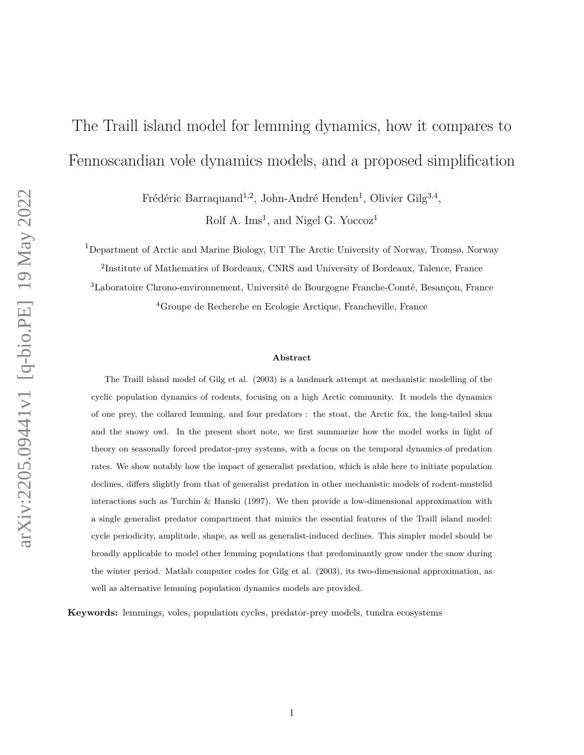# The Traill island model for lemming dynamics, how it compares to Fennoscandian vole dynamics models, and a proposed simplification

Frédéric Barraquand<sup>1,2</sup>, John-André Henden<sup>1</sup>, Olivier Gilg<sup>3,4</sup>,

Rolf A. Ims<sup>1</sup>, and Nigel G. Yoccoz<sup>1</sup>

<sup>1</sup>Department of Arctic and Marine Biology, UiT The Arctic University of Norway, Tromsø, Norway

2 Institute of Mathematics of Bordeaux, CNRS and University of Bordeaux, Talence, France

<sup>3</sup>Laboratoire Chrono-environnement, Université de Bourgogne Franche-Comté, Besançon, France <sup>4</sup>Groupe de Recherche en Ecologie Arctique, Francheville, France

#### **Abstract**

The Traill island model of Gilg et al. (2003) is a landmark attempt at mechanistic modelling of the cyclic population dynamics of rodents, focusing on a high Arctic community. It models the dynamics of one prey, the collared lemming, and four predators : the stoat, the Arctic fox, the long-tailed skua and the snowy owl. In the present short note, we first summarize how the model works in light of theory on seasonally forced predator-prey systems, with a focus on the temporal dynamics of predation rates. We show notably how the impact of generalist predation, which is able here to initiate population declines, differs slightly from that of generalist predation in other mechanistic models of rodent-mustelid interactions such as Turchin & Hanski (1997). We then provide a low-dimensional approximation with a single generalist predator compartment that mimics the essential features of the Traill island model: cycle periodicity, amplitude, shape, as well as generalist-induced declines. This simpler model should be broadly applicable to model other lemming populations that predominantly grow under the snow during the winter period. Matlab computer codes for Gilg et al. (2003), its two-dimensional approximation, as well as alternative lemming population dynamics models are provided.

**Keywords:** lemmings, voles, population cycles, predator-prey models, tundra ecosystems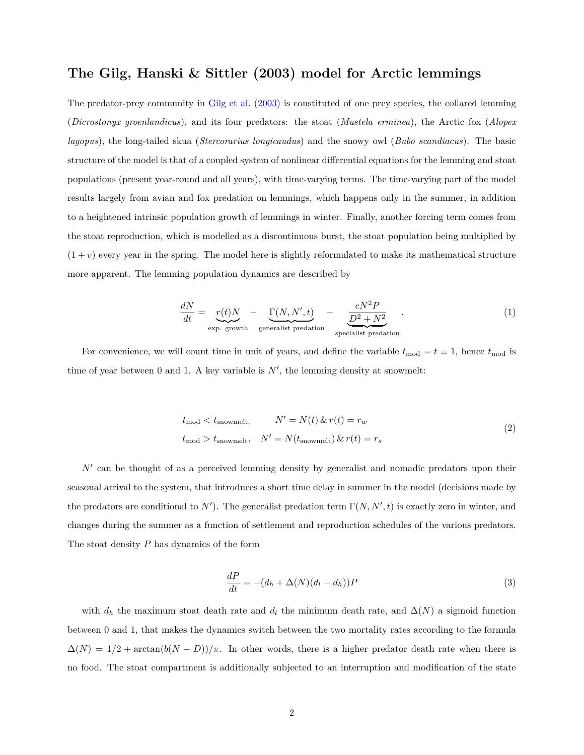## **The Gilg, Hanski & Sittler (2003) model for Arctic lemmings**

The predator-prey community in [Gilg et al.](#page-10-0) [\(2003\)](#page-10-0) is constituted of one prey species, the collared lemming (*Dicrostonyx groenlandicus*), and its four predators: the stoat (*Mustela erminea*), the Arctic fox (*Alopex lagopus*), the long-tailed skua (*Stercorarius longicaudus*) and the snowy owl (*Bubo scandiacus*). The basic structure of the model is that of a coupled system of nonlinear differential equations for the lemming and stoat populations (present year-round and all years), with time-varying terms. The time-varying part of the model results largely from avian and fox predation on lemmings, which happens only in the summer, in addition to a heightened intrinsic population growth of lemmings in winter. Finally, another forcing term comes from the stoat reproduction, which is modelled as a discontinuous burst, the stoat population being multiplied by  $(1 + v)$  every year in the spring. The model here is slightly reformulated to make its mathematical structure more apparent. The lemming population dynamics are described by

$$
\frac{dN}{dt} = \underbrace{r(t)N}_{\text{exp. growth}} - \underbrace{\Gamma(N, N', t)}_{\text{generalist predation}} - \underbrace{\frac{cN^2P}{D^2 + N^2}}_{\text{specialist predation}}.
$$
\n(1)

For convenience, we will count time in unit of years, and define the variable  $t_{\text{mod}} = t \equiv 1$ , hence  $t_{\text{mod}}$  is time of year between  $0$  and  $1$ . A key variable is  $N'$ , the lemming density at snowmelt:

$$
t_{\text{mod}} < t_{\text{snowmelt}}, \qquad N' = N(t) \& r(t) = r_w
$$
\n
$$
t_{\text{mod}} > t_{\text{snowmelt}}, \quad N' = N(t_{\text{snowmelt}}) \& r(t) = r_s \tag{2}
$$

N' can be thought of as a perceived lemming density by generalist and nomadic predators upon their seasonal arrival to the system, that introduces a short time delay in summer in the model (decisions made by the predators are conditional to  $N'$ ). The generalist predation term  $\Gamma(N, N', t)$  is exactly zero in winter, and changes during the summer as a function of settlement and reproduction schedules of the various predators. The stoat density *P* has dynamics of the form

$$
\frac{dP}{dt} = -(d_h + \Delta(N)(d_l - d_h))P
$$
\n(3)

with  $d_h$  the maximum stoat death rate and  $d_l$  the minimum death rate, and  $\Delta(N)$  a sigmoid function between 0 and 1, that makes the dynamics switch between the two mortality rates according to the formula  $\Delta(N) = 1/2 + \arctan(b(N - D))/\pi$ . In other words, there is a higher predator death rate when there is no food. The stoat compartment is additionally subjected to an interruption and modification of the state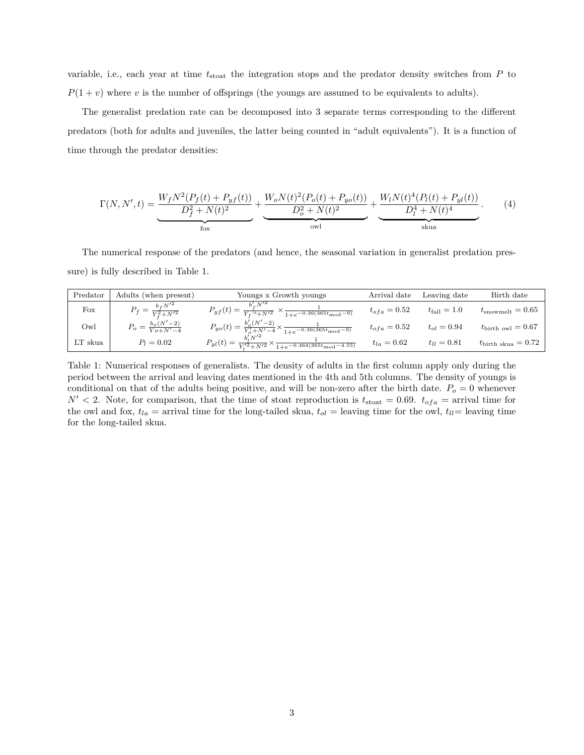variable, i.e., each year at time *t*stoat the integration stops and the predator density switches from *P* to  $P(1 + v)$  where *v* is the number of offsprings (the youngs are assumed to be equivalents to adults).

The generalist predation rate can be decomposed into 3 separate terms corresponding to the different predators (both for adults and juveniles, the latter being counted in "adult equivalents"). It is a function of time through the predator densities:

$$
\Gamma(N, N', t) = \underbrace{\frac{W_f N^2 (P_f(t) + P_{yf}(t))}{D_f^2 + N(t)^2}}_{\text{fox}} + \underbrace{\frac{W_o N(t)^2 (P_o(t) + P_{yo}(t))}{D_o^2 + N(t)^2}}_{\text{owl}} + \underbrace{\frac{W_l N(t)^4 (P_l(t) + P_{yl}(t))}{D_l^4 + N(t)^4}}_{\text{skua}}.
$$
\n(4)

The numerical response of the predators (and hence, the seasonal variation in generalist predation pressure) is fully described in Table 1.

| Predator | Adults (when present)                 | Youngs x Growth youngs                                                                                     | Arrival date     | Leaving date       | Birth date                      |
|----------|---------------------------------------|------------------------------------------------------------------------------------------------------------|------------------|--------------------|---------------------------------|
| Fox      | $P_f = \frac{b_f N'^2}{Y_s^2 + N'^2}$ | $P_{yf}(t) =$<br>$\frac{f}{Y_f^{\prime 2}+N^{\prime 2}} \times \frac{1}{1+e^{-0.36(365t_{\text{mod}}-9)}}$ | $t_{ofa} = 0.52$ | $t_{\rm fall}=1.0$ | $t_{\rm snowmelt} = 0.65$       |
| Owl      | $P_o = \frac{b_o(N'-2)}{Yo+N'-4}$     | $P_{yo}(t) = \frac{b'_o(N'-2)}{Y'_o + N'-4} \times \frac{1}{1 + e^{-0.36(365t_{\text{mod}}-9)}}$           | $t_{ofa} = 0.52$ | $t_{ol} = 0.94$    | $t_{\text{birth}}$ owl $= 0.67$ |
| LT skua  | $P_l = 0.02$                          | $P_{yl}(t) = \frac{V_1 t}{Y_1^2 + N^2} \times \frac{1}{1 + e^{-0.464(365t_{\text{mod}} - 4.55)}}$          | $t_{la} = 0.62$  | $t_{ll} = 0.81$    | $t_{\text{birth skua}} = 0.72$  |

Table 1: Numerical responses of generalists. The density of adults in the first column apply only during the period between the arrival and leaving dates mentioned in the 4th and 5th columns. The density of youngs is conditional on that of the adults being positive, and will be non-zero after the birth date.  $P<sub>o</sub> = 0$  whenever  $N' < 2$ . Note, for comparison, that the time of stoat reproduction is  $t_{\text{stoat}} = 0.69$ .  $t_{ofa} =$  arrival time for the owl and fox,  $t_{la}$  = arrival time for the long-tailed skua,  $t_{ol}$  = leaving time for the owl,  $t_{ll}$  = leaving time for the long-tailed skua.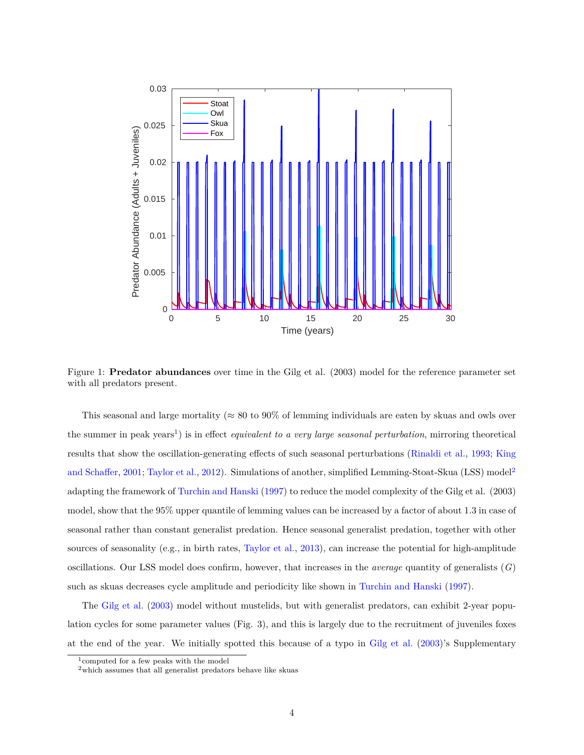

Figure 1: **Predator abundances** over time in the Gilg et al. (2003) model for the reference parameter set with all predators present.

This seasonal and large mortality ( $\approx 80$  to 90% of lemming individuals are eaten by skuas and owls over the summer in peak years<sup>[1](#page-3-0)</sup>) is in effect *equivalent to a very large seasonal perturbation*, mirroring theoretical results that show the oscillation-generating effects of such seasonal perturbations [\(Rinaldi et al.,](#page-10-1) [1993;](#page-10-1) [King](#page-10-2) [and Schaffer,](#page-10-2) [2001;](#page-10-2) [Taylor et al.,](#page-10-3) [2012\)](#page-10-3). Simulations of another, simplified Lemming-Stoat-Skua (LSS) model<sup>[2](#page-3-1)</sup> adapting the framework of [Turchin and Hanski](#page-11-0) [\(1997\)](#page-11-0) to reduce the model complexity of the Gilg et al. (2003) model, show that the 95% upper quantile of lemming values can be increased by a factor of about 1.3 in case of seasonal rather than constant generalist predation. Hence seasonal generalist predation, together with other sources of seasonality (e.g., in birth rates, [Taylor et al.,](#page-10-4) [2013\)](#page-10-4), can increase the potential for high-amplitude oscillations. Our LSS model does confirm, however, that increases in the *average* quantity of generalists (*G*) such as skuas decreases cycle amplitude and periodicity like shown in [Turchin and Hanski](#page-11-0) [\(1997\)](#page-11-0).

The [Gilg et al.](#page-10-0) [\(2003\)](#page-10-0) model without mustelids, but with generalist predators, can exhibit 2-year population cycles for some parameter values (Fig. 3), and this is largely due to the recruitment of juveniles foxes at the end of the year. We initially spotted this because of a typo in [Gilg et al.](#page-10-0) [\(2003\)](#page-10-0)'s Supplementary

<span id="page-3-0"></span><sup>1</sup>computed for a few peaks with the model

<span id="page-3-1"></span> $^{2}$  which assumes that all generalist predators behave like skuas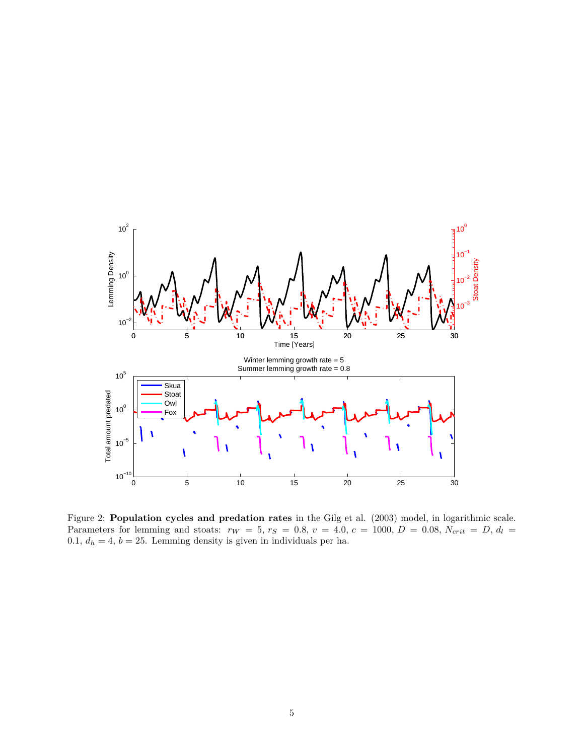

Figure 2: **Population cycles and predation rates** in the Gilg et al. (2003) model, in logarithmic scale. Parameters for lemming and stoats:  $r_W = 5$ ,  $r_S = 0.8$ ,  $v = 4.0$ ,  $c = 1000$ ,  $D = 0.08$ ,  $N_{crit} = D$ ,  $d_l =$ 0.1,  $d_h = 4$ ,  $b = 25$ . Lemming density is given in individuals per ha.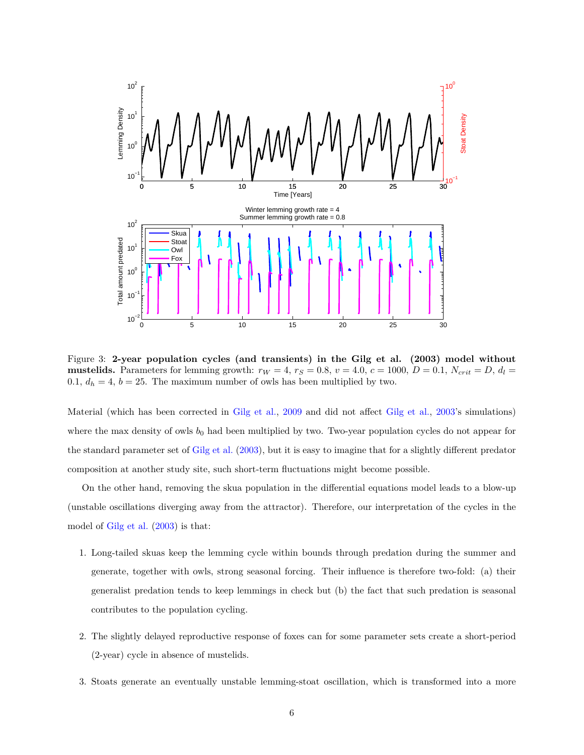

Figure 3: **2-year population cycles (and transients) in the Gilg et al. (2003) model without mustelids.** Parameters for lemming growth:  $r_W = 4$ ,  $r_S = 0.8$ ,  $v = 4.0$ ,  $c = 1000$ ,  $D = 0.1$ ,  $N_{crit} = D$ ,  $d_l =$ 0.1,  $d_h = 4$ ,  $b = 25$ . The maximum number of owls has been multiplied by two.

Material (which has been corrected in [Gilg et al.,](#page-10-5) [2009](#page-10-5) and did not affect [Gilg et al.,](#page-10-0) [2003'](#page-10-0)s simulations) where the max density of owls  $b_0$  had been multiplied by two. Two-year population cycles do not appear for the standard parameter set of [Gilg et al.](#page-10-0) [\(2003\)](#page-10-0), but it is easy to imagine that for a slightly different predator composition at another study site, such short-term fluctuations might become possible.

On the other hand, removing the skua population in the differential equations model leads to a blow-up (unstable oscillations diverging away from the attractor). Therefore, our interpretation of the cycles in the model of [Gilg et al.](#page-10-0) [\(2003\)](#page-10-0) is that:

- 1. Long-tailed skuas keep the lemming cycle within bounds through predation during the summer and generate, together with owls, strong seasonal forcing. Their influence is therefore two-fold: (a) their generalist predation tends to keep lemmings in check but (b) the fact that such predation is seasonal contributes to the population cycling.
- 2. The slightly delayed reproductive response of foxes can for some parameter sets create a short-period (2-year) cycle in absence of mustelids.
- 3. Stoats generate an eventually unstable lemming-stoat oscillation, which is transformed into a more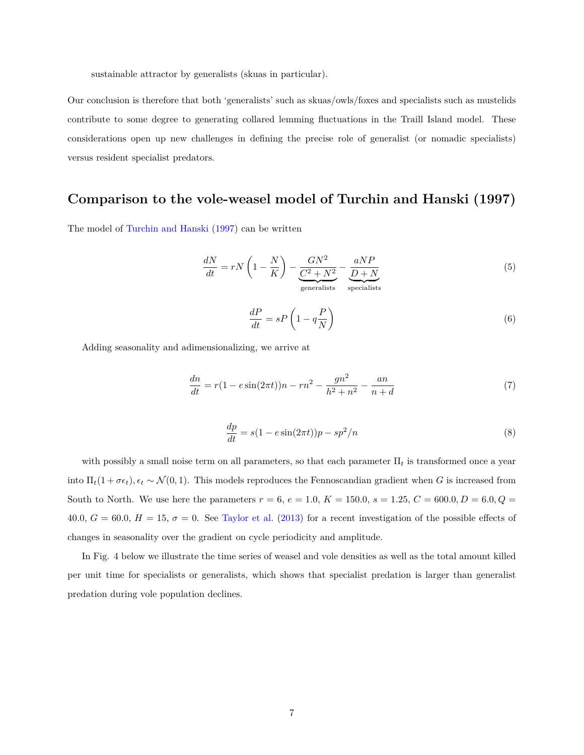sustainable attractor by generalists (skuas in particular).

Our conclusion is therefore that both 'generalists' such as skuas/owls/foxes and specialists such as mustelids contribute to some degree to generating collared lemming fluctuations in the Traill Island model. These considerations open up new challenges in defining the precise role of generalist (or nomadic specialists) versus resident specialist predators.

# **Comparison to the vole-weasel model of Turchin and Hanski (1997)**

The model of [Turchin and Hanski](#page-11-0) [\(1997\)](#page-11-0) can be written

$$
\frac{dN}{dt} = rN\left(1 - \frac{N}{K}\right) - \underbrace{\frac{GN^2}{C^2 + N^2}}_{\text{generalists}} - \underbrace{\frac{aNP}{D + N}}_{\text{specialists}}
$$
\n(5)

$$
\frac{dP}{dt} = sP\left(1 - q\frac{P}{N}\right) \tag{6}
$$

Adding seasonality and adimensionalizing, we arrive at

$$
\frac{dn}{dt} = r(1 - e\sin(2\pi t))n - rn^2 - \frac{gn^2}{h^2 + n^2} - \frac{an}{n + d}
$$
\n(7)

$$
\frac{dp}{dt} = s(1 - e\sin(2\pi t))p - sp^2/n\tag{8}
$$

with possibly a small noise term on all parameters, so that each parameter  $\Pi_t$  is transformed once a year into  $\Pi_t(1 + \sigma \epsilon_t)$ ,  $\epsilon_t \sim \mathcal{N}(0, 1)$ . This models reproduces the Fennoscandian gradient when *G* is increased from South to North. We use here the parameters  $r = 6$ ,  $e = 1.0$ ,  $K = 150.0$ ,  $s = 1.25$ ,  $C = 600.0$ ,  $D = 6.0$ ,  $Q =$ 40.0,  $G = 60.0, H = 15, \sigma = 0$ . See [Taylor et al.](#page-10-4) [\(2013\)](#page-10-4) for a recent investigation of the possible effects of changes in seasonality over the gradient on cycle periodicity and amplitude.

In Fig. 4 below we illustrate the time series of weasel and vole densities as well as the total amount killed per unit time for specialists or generalists, which shows that specialist predation is larger than generalist predation during vole population declines.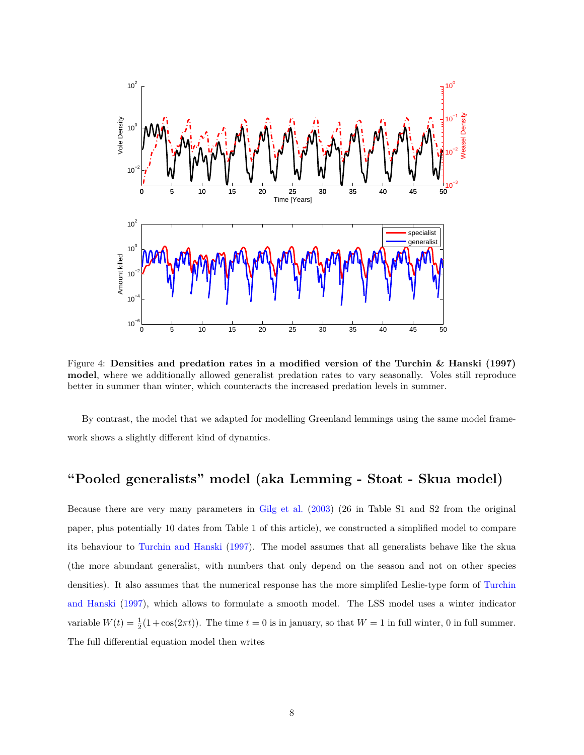

Figure 4: **Densities and predation rates in a modified version of the Turchin & Hanski (1997) model**, where we additionally allowed generalist predation rates to vary seasonally. Voles still reproduce better in summer than winter, which counteracts the increased predation levels in summer.

By contrast, the model that we adapted for modelling Greenland lemmings using the same model framework shows a slightly different kind of dynamics.

## **"Pooled generalists" model (aka Lemming - Stoat - Skua model)**

Because there are very many parameters in [Gilg et al.](#page-10-0) [\(2003\)](#page-10-0) (26 in Table S1 and S2 from the original paper, plus potentially 10 dates from Table 1 of this article), we constructed a simplified model to compare its behaviour to [Turchin and Hanski](#page-11-0) [\(1997\)](#page-11-0). The model assumes that all generalists behave like the skua (the more abundant generalist, with numbers that only depend on the season and not on other species densities). It also assumes that the numerical response has the more simplifed Leslie-type form of [Turchin](#page-11-0) [and Hanski](#page-11-0) [\(1997\)](#page-11-0), which allows to formulate a smooth model. The LSS model uses a winter indicator variable  $W(t) = \frac{1}{2}(1 + \cos(2\pi t))$ . The time  $t = 0$  is in january, so that  $W = 1$  in full winter, 0 in full summer. The full differential equation model then writes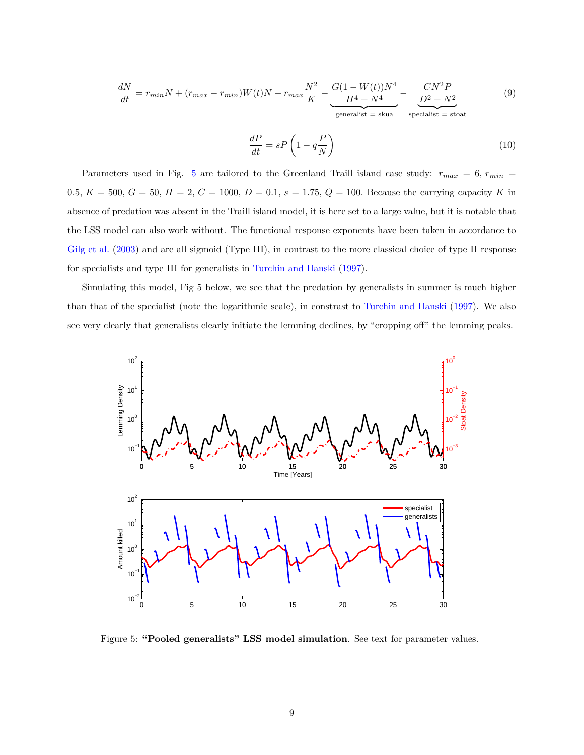$$
\frac{dN}{dt} = r_{min}N + (r_{max} - r_{min})W(t)N - r_{max}\frac{N^2}{K} - \underbrace{\frac{G(1 - W(t))N^4}{H^4 + N^4}}_{\text{generalist} = \text{skua}} - \underbrace{\frac{CN^2P}{D^2 + N^2}}_{\text{specialist} = \text{stoa}} \tag{9}
$$

$$
\frac{dP}{dt} = sP\left(1 - q\frac{P}{N}\right) \tag{10}
$$

Parameters used in Fig. [5](#page-8-0) are tailored to the Greenland Traill island case study: *rmax* = 6*, rmin* = 0.5*, K* = 500*, G* = 50*, H* = 2*, C* = 1000*, D* = 0.1*, s* = 1.75*, Q* = 100*.* Because the carrying capacity *K* in absence of predation was absent in the Traill island model, it is here set to a large value, but it is notable that the LSS model can also work without. The functional response exponents have been taken in accordance to [Gilg et al.](#page-10-0) [\(2003\)](#page-10-0) and are all sigmoid (Type III), in contrast to the more classical choice of type II response for specialists and type III for generalists in [Turchin and Hanski](#page-11-0) [\(1997\)](#page-11-0).

Simulating this model, Fig 5 below, we see that the predation by generalists in summer is much higher than that of the specialist (note the logarithmic scale), in constrast to [Turchin and Hanski](#page-11-0) [\(1997\)](#page-11-0). We also see very clearly that generalists clearly initiate the lemming declines, by "cropping off" the lemming peaks.



<span id="page-8-0"></span>Figure 5: **"Pooled generalists" LSS model simulation**. See text for parameter values.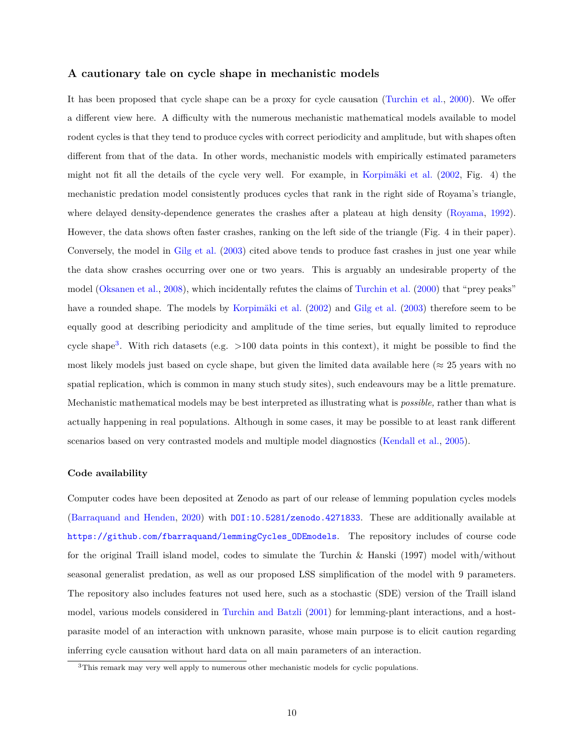## **A cautionary tale on cycle shape in mechanistic models**

It has been proposed that cycle shape can be a proxy for cycle causation [\(Turchin et al.,](#page-11-1) [2000\)](#page-11-1). We offer a different view here. A difficulty with the numerous mechanistic mathematical models available to model rodent cycles is that they tend to produce cycles with correct periodicity and amplitude, but with shapes often different from that of the data. In other words, mechanistic models with empirically estimated parameters might not fit all the details of the cycle very well. For example, in [Korpimäki et al.](#page-10-6) [\(2002,](#page-10-6) Fig. 4) the mechanistic predation model consistently produces cycles that rank in the right side of Royama's triangle, where delayed density-dependence generates the crashes after a plateau at high density [\(Royama,](#page-10-7) [1992\)](#page-10-7). However, the data shows often faster crashes, ranking on the left side of the triangle (Fig. 4 in their paper). Conversely, the model in [Gilg et al.](#page-10-0) [\(2003\)](#page-10-0) cited above tends to produce fast crashes in just one year while the data show crashes occurring over one or two years. This is arguably an undesirable property of the model [\(Oksanen et al.,](#page-10-8) [2008\)](#page-10-8), which incidentally refutes the claims of [Turchin et al.](#page-11-1) [\(2000\)](#page-11-1) that "prey peaks" have a rounded shape. The models by [Korpimäki et al.](#page-10-6) [\(2002\)](#page-10-6) and [Gilg et al.](#page-10-0) [\(2003\)](#page-10-0) therefore seem to be equally good at describing periodicity and amplitude of the time series, but equally limited to reproduce cycle shape<sup>[3](#page-9-0)</sup>. With rich datasets (e.g.  $>100$  data points in this context), it might be possible to find the most likely models just based on cycle shape, but given the limited data available here ( $\approx 25$  years with no spatial replication, which is common in many stuch study sites), such endeavours may be a little premature. Mechanistic mathematical models may be best interpreted as illustrating what is *possible,* rather than what is actually happening in real populations. Although in some cases, it may be possible to at least rank different scenarios based on very contrasted models and multiple model diagnostics [\(Kendall et al.,](#page-10-9) [2005\)](#page-10-9).

#### **Code availability**

Computer codes have been deposited at Zenodo as part of our release of lemming population cycles models [\(Barraquand and Henden,](#page-10-10) [2020\)](#page-10-10) with <DOI:10.5281/zenodo.4271833>. These are additionally available at [https://github.com/fbarraquand/lemmingCycles\\_ODEmodels](https://github.com/fbarraquand/lemmingCycles_ODEmodels). The repository includes of course code for the original Traill island model, codes to simulate the Turchin & Hanski (1997) model with/without seasonal generalist predation, as well as our proposed LSS simplification of the model with 9 parameters. The repository also includes features not used here, such as a stochastic (SDE) version of the Traill island model, various models considered in [Turchin and Batzli](#page-11-2) [\(2001\)](#page-11-2) for lemming-plant interactions, and a hostparasite model of an interaction with unknown parasite, whose main purpose is to elicit caution regarding inferring cycle causation without hard data on all main parameters of an interaction.

<span id="page-9-0"></span><sup>&</sup>lt;sup>3</sup>This remark may very well apply to numerous other mechanistic models for cyclic populations.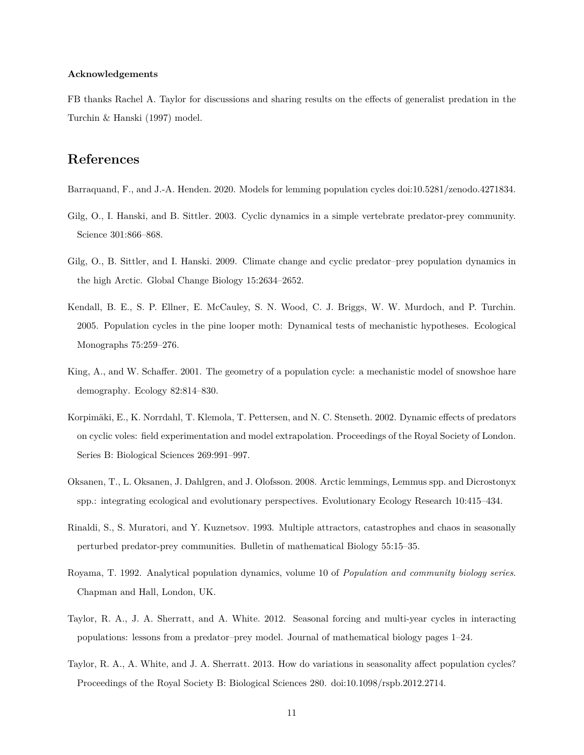### **Acknowledgements**

FB thanks Rachel A. Taylor for discussions and sharing results on the effects of generalist predation in the Turchin & Hanski (1997) model.

## **References**

- <span id="page-10-10"></span>Barraquand, F., and J.-A. Henden. 2020. Models for lemming population cycles doi:10.5281/zenodo.4271834.
- <span id="page-10-0"></span>Gilg, O., I. Hanski, and B. Sittler. 2003. Cyclic dynamics in a simple vertebrate predator-prey community. Science 301:866–868.
- <span id="page-10-5"></span>Gilg, O., B. Sittler, and I. Hanski. 2009. Climate change and cyclic predator–prey population dynamics in the high Arctic. Global Change Biology 15:2634–2652.
- <span id="page-10-9"></span>Kendall, B. E., S. P. Ellner, E. McCauley, S. N. Wood, C. J. Briggs, W. W. Murdoch, and P. Turchin. 2005. Population cycles in the pine looper moth: Dynamical tests of mechanistic hypotheses. Ecological Monographs 75:259–276.
- <span id="page-10-2"></span>King, A., and W. Schaffer. 2001. The geometry of a population cycle: a mechanistic model of snowshoe hare demography. Ecology 82:814–830.
- <span id="page-10-6"></span>Korpimäki, E., K. Norrdahl, T. Klemola, T. Pettersen, and N. C. Stenseth. 2002. Dynamic effects of predators on cyclic voles: field experimentation and model extrapolation. Proceedings of the Royal Society of London. Series B: Biological Sciences 269:991–997.
- <span id="page-10-8"></span>Oksanen, T., L. Oksanen, J. Dahlgren, and J. Olofsson. 2008. Arctic lemmings, Lemmus spp. and Dicrostonyx spp.: integrating ecological and evolutionary perspectives. Evolutionary Ecology Research 10:415–434.
- <span id="page-10-1"></span>Rinaldi, S., S. Muratori, and Y. Kuznetsov. 1993. Multiple attractors, catastrophes and chaos in seasonally perturbed predator-prey communities. Bulletin of mathematical Biology 55:15–35.
- <span id="page-10-7"></span>Royama, T. 1992. Analytical population dynamics, volume 10 of *Population and community biology series*. Chapman and Hall, London, UK.
- <span id="page-10-3"></span>Taylor, R. A., J. A. Sherratt, and A. White. 2012. Seasonal forcing and multi-year cycles in interacting populations: lessons from a predator–prey model. Journal of mathematical biology pages 1–24.
- <span id="page-10-4"></span>Taylor, R. A., A. White, and J. A. Sherratt. 2013. How do variations in seasonality affect population cycles? Proceedings of the Royal Society B: Biological Sciences 280. doi:10.1098/rspb.2012.2714.